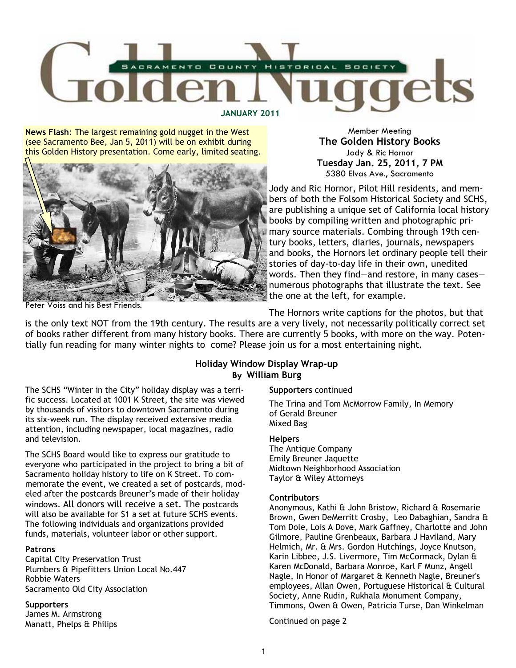

News Flash: The largest remaining gold nugget in the West (see Sacramento Bee, Jan 5, 2011) will be on exhibit during this Golden History presentation. Come early, limited seating.



Peter Voiss and his Best Friends.

Member Meeting The Golden History Books Jody & Ric Hornor Tuesday Jan. 25, 2011, 7 PM 5380 Elvas Ave., Sacramento

Jody and Ric Hornor, Pilot Hill residents, and members of both the Folsom Historical Society and SCHS, are publishing a unique set of California local history books by compiling written and photographic primary source materials. Combing through 19th century books, letters, diaries, journals, newspapers and books, the Hornors let ordinary people tell their stories of day-to-day life in their own, unedited words. Then they find—and restore, in many cases numerous photographs that illustrate the text. See the one at the left, for example.

The Hornors write captions for the photos, but that

is the only text NOT from the 19th century. The results are a very lively, not necessarily politically correct set of books rather different from many history books. There are currently 5 books, with more on the way. Potentially fun reading for many winter nights to come? Please join us for a most entertaining night.

## Holiday Window Display Wrap-up By William Burg

The SCHS "Winter in the City" holiday display was a terrific success. Located at 1001 K Street, the site was viewed by thousands of visitors to downtown Sacramento during its six-week run. The display received extensive media attention, including newspaper, local magazines, radio and television.

The SCHS Board would like to express our gratitude to everyone who participated in the project to bring a bit of Sacramento holiday history to life on K Street. To commemorate the event, we created a set of postcards, modeled after the postcards Breuner's made of their holiday windows. All donors will receive a set. The postcards will also be available for \$1 a set at future SCHS events. The following individuals and organizations provided funds, materials, volunteer labor or other support.

## Patrons

Capital City Preservation Trust Plumbers & Pipefitters Union Local No.447 Robbie Waters Sacramento Old City Association

**Supporters** James M. Armstrong Manatt, Phelps & Philips

## Supporters continued

The Trina and Tom McMorrow Family, In Memory of Gerald Breuner Mixed Bag

#### Helpers

The Antique Company Emily Breuner Jaquette Midtown Neighborhood Association Taylor & Wiley Attorneys

#### **Contributors**

Anonymous, Kathi & John Bristow, Richard & Rosemarie Brown, Gwen DeMerritt Crosby, Leo Dabaghian, Sandra & Tom Dole, Lois A Dove, Mark Gaffney, Charlotte and John Gilmore, Pauline Grenbeaux, Barbara J Haviland, Mary Helmich, Mr. & Mrs. Gordon Hutchings, Joyce Knutson, Karin Libbee, J.S. Livermore, Tim McCormack, Dylan & Karen McDonald, Barbara Monroe, Karl F Munz, Angell Nagle, In Honor of Margaret & Kenneth Nagle, Breuner's employees, Allan Owen, Portuguese Historical & Cultural Society, Anne Rudin, Rukhala Monument Company, Timmons, Owen & Owen, Patricia Turse, Dan Winkelman

Continued on page 2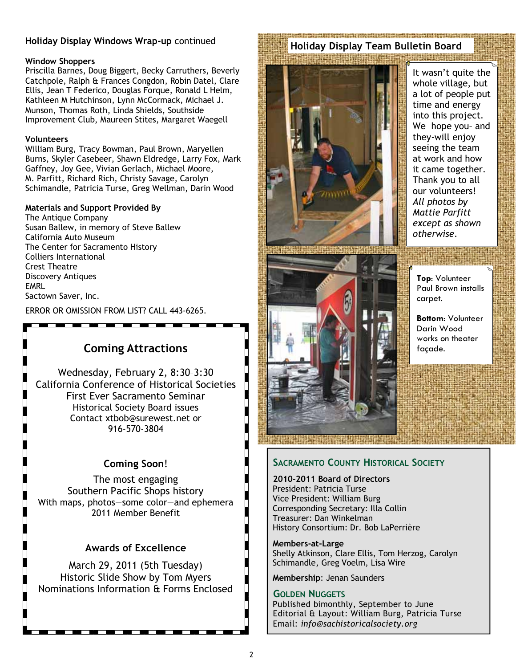## Holiday Display Windows Wrap-up continued

#### Window Shoppers

Priscilla Barnes, Doug Biggert, Becky Carruthers, Beverly Catchpole, Ralph & Frances Congdon, Robin Datel, Clare Ellis, Jean T Federico, Douglas Forque, Ronald L Helm, Kathleen M Hutchinson, Lynn McCormack, Michael J. Munson, Thomas Roth, Linda Shields, Southside Improvement Club, Maureen Stites, Margaret Waegell

## Volunteers

William Burg, Tracy Bowman, Paul Brown, Maryellen Burns, Skyler Casebeer, Shawn Eldredge, Larry Fox, Mark Gaffney, Joy Gee, Vivian Gerlach, Michael Moore, M. Parfitt, Richard Rich, Christy Savage, Carolyn Schimandle, Patricia Turse, Greg Wellman, Darin Wood

#### Materials and Support Provided By

The Antique Company Susan Ballew, in memory of Steve Ballew California Auto Museum The Center for Sacramento History Colliers International Crest Theatre Discovery Antiques **FMRL** Sactown Saver, Inc.

ERROR OR OMISSION FROM LIST? CALL 443-6265.

# Coming Attractions

Wednesday, February 2, 8:30–3:30 California Conference of Historical Societies First Ever Sacramento Seminar Historical Society Board issues Contact xtbob@surewest.net or 916-570-3804

# Coming Soon!

The most engaging Southern Pacific Shops history With maps, photos—some color—and ephemera 2011 Member Benefit

# Awards of Excellence

March 29, 2011 (5th Tuesday) Historic Slide Show by Tom Myers Nominations Information & Forms Enclosed

#### i veda podajnici tradicija i podajnici izvori se u dobio podajnici i podajnici tradicija i podajnici i pod Holiday Display Team Bulletin Board**IN THE REPORT OF BUILDING**



It wasn't quite the whole village, but a lot of people put time and energy into this project. We hope you– and they-will enjoy seeing the team at work and how it came together. Thank you to all our volunteers! All photos by Mattie Parfitt except as shown otherwise.



Top: Volunteer Paul Brown installs carpet.

Bottom: Volunteer Darin Wood works on theater façade.

# SACRAMENTO COUNTY HISTORICAL SOCIETY

2010-2011 Board of Directors President: Patricia Turse Vice President: William Burg Corresponding Secretary: Illa Collin Treasurer: Dan Winkelman History Consortium: Dr. Bob LaPerrière

Members-at-Large Shelly Atkinson, Clare Ellis, Tom Herzog, Carolyn Schimandle, Greg Voelm, Lisa Wire

Membership: Jenan Saunders

## GOLDEN NUGGETS

Published bimonthly, September to June Editorial & Layout: William Burg, Patricia Turse Email: info@sachistoricalsociety.org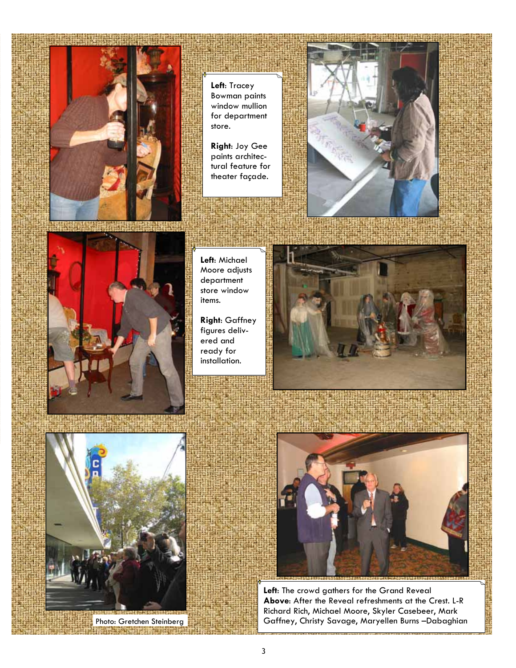

Left: Tracey Bowman paints window mullion for department store.

Right: Joy Gee paints architectural feature for theater façade.



Left: Michael Moore adjusts department store window items.

Right: Gaffney figures delivered and ready for installation.







Left: The crowd gathers for the Grand Reveal Above: After the Reveal refreshments at the Crest. L-R Richard Rich, Michael Moore, Skyler Casebeer, Mark Photo: Gretchen Steinberg Gaffney, Christy Savage, Maryellen Burns –Dabaghian